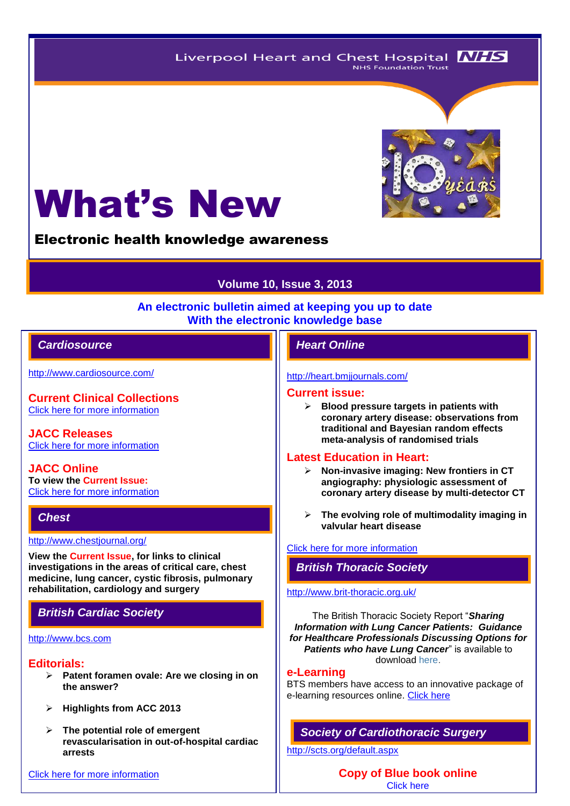Liverpool Heart and Chest Hospital **NHS NHS Foundation Trust** 

# What's New

Electronic health knowledge awareness

# **Volume 10, Issue 3, 2013**

#### **An electronic bulletin aimed at keeping you up to date With the electronic knowledge base**

## *Cardiosource Heart Online*

<http://www.cardiosource.com/>

**Current Clinical Collections** [Click here for more information](http://www.cardiosource.org/science-and-quality/clinical-collections.aspx)

**JACC Releases** [Click here for more information](http://www.cardiosource.org/news-media/media-center/jacc-releases.aspx)

**JACC Online To view the Current Issue:** [Click here for more information](http://content.onlinejacc.org/current.dtl)

#### *Chest*

<http://www.chestjournal.org/>

**View the Current Issue, for links to clinical investigations in the areas of critical care, chest medicine, lung cancer, cystic fibrosis, pulmonary rehabilitation, cardiology and surgery**

# *British Cardiac Society*

## [http://www.bcs.com](http://www.bcs.com/)

#### **Editorials:**

- **Patent foramen ovale: Are we closing in on the answer?**
- **Highlights from ACC 2013**
- **The potential role of emergent revascularisation in out-of-hospital cardiac arrests**

#### [Click here for more information](http://www.bcs.com/editorial/editorial.asp)

#### <http://heart.bmjjournals.com/>

#### **Current issue:**

 **Blood pressure targets in patients with coronary artery disease: observations from traditional and Bayesian random effects meta-analysis of randomised trials**

#### **Latest Education in Heart:**

- **Non-invasive imaging: New frontiers in CT angiography: physiologic assessment of coronary artery disease by multi-detector CT**
- **The evolving role of multimodality imaging in valvular heart disease**

#### [Click here for more](http://heart.bmj.com/site/about/education.xhtml) information

# *British Thoracic Society*

#### <http://www.brit-thoracic.org.uk/>

The British Thoracic Society Report "*Sharing Information with Lung Cancer Patients: Guidance for Healthcare Professionals Discussing Options for Patients who have Lung Cancer*" is available to download [here.](http://www.brit-thoracic.org.uk/Portals/0/Delivery%20of%20RespCare/LungCancerReports/258539_Lung_Cancer_Report.pdf)

#### **e-Learning**

BTS members have access to an innovative package of e-learning resources online. [Click here](http://www.brit-thoracic.org.uk/BTS-Learning-Hub/e-Learning.aspx)

# *Society of Cardiothoracic Surgery*

<http://scts.org/default.aspx>

**Copy of Blue book online** [Click here](http://bluebook.scts.org/) 

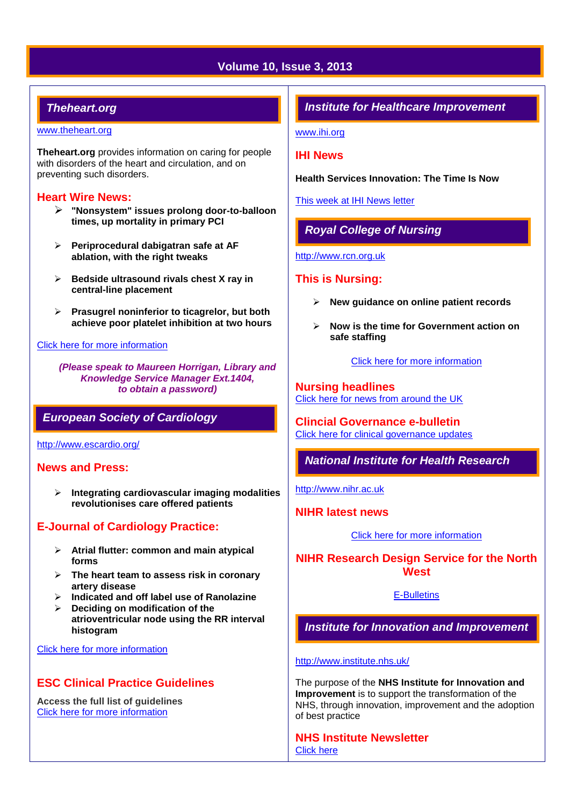# **Volume 10, Issue 3, 2013**

# *Theheart.org*

#### [www.theheart.org](http://www.theheart.org/)

**Theheart.org** provides information on caring for people with disorders of the heart and circulation, and on preventing such disorders.

#### **Heart Wire News:**

- **"Nonsystem" issues prolong door-to-balloon times, up mortality in primary PCI**
- **Periprocedural dabigatran safe at AF ablation, with the right tweaks**
- **Bedside ultrasound rivals chest X ray in central-line placement**
- **Prasugrel noninferior to ticagrelor, but both achieve poor platelet inhibition at two hours**

#### [Click here for more information](http://www.theheart.org/section/heartwire.do)

*(Please speak to Maureen Horrigan, Library and Knowledge Service Manager Ext.1404, to obtain a password)*

## *European Society of Cardiology*

<http://www.escardio.org/>

#### **News and Press:**

 **Integrating cardiovascular imaging modalities revolutionises care offered patients**

# **E-Journal of Cardiology Practice:**

- **Atrial flutter: common and main atypical forms**
- **The heart team to assess risk in coronary artery disease**
- **Indicated and off label use of Ranolazine**
- **Deciding on modification of the atrioventricular node using the RR interval histogram**

#### [Click here for more information](http://www.escardio.org/communities/councils/ccp/e-journal/volume11/Pages/welcome.aspx)

# **ESC Clinical Practice Guidelines**

**Access the full list of guidelines**  [Click here for more information](http://www.escardio.org/guidelines-surveys/esc-guidelines/Pages/GuidelinesList.aspx)

## *Institute for Healthcare Improvement*

[www.ihi.org](http://www.ihi.org/)

#### **IHI News**

**Health Services Innovation: The Time Is Now**

[This week at IHI News letter](http://www.ihi.org/Documents/ThisWeekatIHI.htm) 

# *Royal College of Nursing*

[http://www.rcn.org.uk](http://www.rcn.org.uk/)

#### **This is Nursing:**

- **New guidance on online patient records**
- **Now is the time for Government action on safe staffing**

[Click here for more information](http://thisisnursing.rcn.org.uk/members/)

**Nursing headlines** [Click here for news from around the UK](http://www.rcn.org.uk/newsevents/news)

**Clincial Governance e-bulletin** [Click here for clinical governance updates](http://www.rcn.org.uk/development/practice/clinical_governance/quality_and_safety_e-bulletin/e-bulletin_archive)

# *National Institute for Health Research*

[http://www.nihr.ac.uk](http://www.nihr.ac.uk/)

**NIHR latest news**

[Click here for more information](http://www.nihr.ac.uk/news/Pages/default.aspx)

**NIHR Research Design Service for the North West**

[E-Bulletins](http://www.rds-nw.nihr.ac.uk/newstrainingevents/ebulletin.php)

*Institute for Innovation and Improvement*

<http://www.institute.nhs.uk/>

The purpose of the **NHS Institute for Innovation and Improvement** is to support the transformation of the NHS, through innovation, improvement and the adoption of best practice

**NHS Institute Newsletter**  [Click here](http://www.institute.nhs.uk/organisation/general/nhs_institute_newsletters.html)